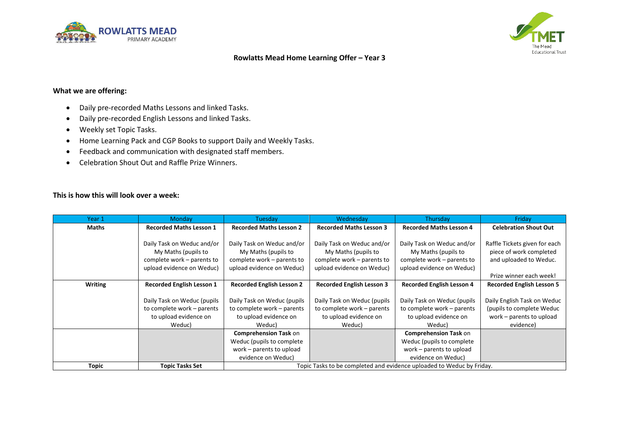



# **Rowlatts Mead Home Learning Offer – Year 3**

# **What we are offering:**

- Daily pre-recorded Maths Lessons and linked Tasks.
- Daily pre-recorded English Lessons and linked Tasks.
- Weekly set Topic Tasks.
- Home Learning Pack and CGP Books to support Daily and Weekly Tasks.
- Feedback and communication with designated staff members.
- Celebration Shout Out and Raffle Prize Winners.

### **This is how this will look over a week:**

| Year 1         | <b>Monday</b>                    | Tuesday                                                               | Wednesday                        | Thursday                         | Friday                           |
|----------------|----------------------------------|-----------------------------------------------------------------------|----------------------------------|----------------------------------|----------------------------------|
| <b>Maths</b>   | <b>Recorded Maths Lesson 1</b>   | <b>Recorded Maths Lesson 2</b>                                        | <b>Recorded Maths Lesson 3</b>   | <b>Recorded Maths Lesson 4</b>   | <b>Celebration Shout Out</b>     |
|                |                                  |                                                                       |                                  |                                  |                                  |
|                | Daily Task on Weduc and/or       | Daily Task on Weduc and/or                                            | Daily Task on Weduc and/or       | Daily Task on Weduc and/or       | Raffle Tickets given for each    |
|                | My Maths (pupils to              | My Maths (pupils to                                                   | My Maths (pupils to              | My Maths (pupils to              | piece of work completed          |
|                | complete work – parents to       | complete work – parents to                                            | complete work – parents to       | complete work – parents to       | and uploaded to Weduc.           |
|                | upload evidence on Weduc)        | upload evidence on Weduc)                                             | upload evidence on Weduc)        | upload evidence on Weduc)        |                                  |
|                |                                  |                                                                       |                                  |                                  | Prize winner each week!          |
| <b>Writing</b> | <b>Recorded English Lesson 1</b> | <b>Recorded English Lesson 2</b>                                      | <b>Recorded English Lesson 3</b> | <b>Recorded English Lesson 4</b> | <b>Recorded English Lesson 5</b> |
|                |                                  |                                                                       |                                  |                                  |                                  |
|                | Daily Task on Weduc (pupils      | Daily Task on Weduc (pupils                                           | Daily Task on Weduc (pupils      | Daily Task on Weduc (pupils      | Daily English Task on Weduc      |
|                | to complete work - parents       | to complete work – parents                                            | to complete work - parents       | to complete work – parents       | (pupils to complete Weduc        |
|                | to upload evidence on            | to upload evidence on                                                 | to upload evidence on            | to upload evidence on            | work – parents to upload         |
|                | Weduc)                           | Weduc)                                                                | Weduc)                           | Weduc)                           | evidence)                        |
|                |                                  | <b>Comprehension Task on</b>                                          |                                  | <b>Comprehension Task on</b>     |                                  |
|                |                                  | Weduc (pupils to complete                                             |                                  | Weduc (pupils to complete)       |                                  |
|                |                                  | work - parents to upload                                              |                                  | work – parents to upload         |                                  |
|                |                                  | evidence on Weduc)                                                    |                                  | evidence on Weduc)               |                                  |
| Topic          | <b>Topic Tasks Set</b>           | Topic Tasks to be completed and evidence uploaded to Weduc by Friday. |                                  |                                  |                                  |